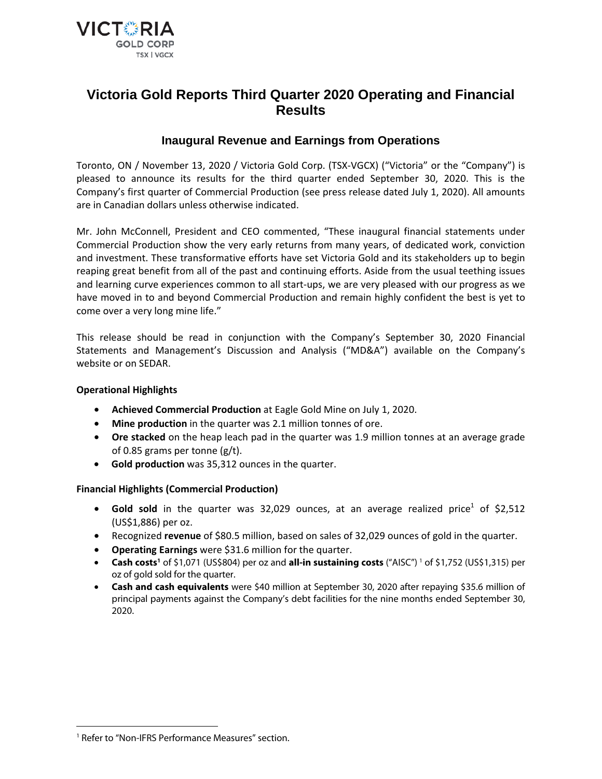

# **Victoria Gold Reports Third Quarter 2020 Operating and Financial Results**

# **Inaugural Revenue and Earnings from Operations**

Toronto, ON / November 13, 2020 / Victoria Gold Corp. (TSX-VGCX) ("Victoria" or the "Company") is pleased to announce its results for the third quarter ended September 30, 2020. This is the Company's first quarter of Commercial Production (see press release dated July 1, 2020). All amounts are in Canadian dollars unless otherwise indicated.

Mr. John McConnell, President and CEO commented, "These inaugural financial statements under Commercial Production show the very early returns from many years, of dedicated work, conviction and investment. These transformative efforts have set Victoria Gold and its stakeholders up to begin reaping great benefit from all of the past and continuing efforts. Aside from the usual teething issues and learning curve experiences common to all start-ups, we are very pleased with our progress as we have moved in to and beyond Commercial Production and remain highly confident the best is yet to come over a very long mine life."

This release should be read in conjunction with the Company's September 30, 2020 Financial Statements and Management's Discussion and Analysis ("MD&A") available on the Company's website or on SEDAR.

# **Operational Highlights**

- **Achieved Commercial Production** at Eagle Gold Mine on July 1, 2020.
- **Mine production** in the quarter was 2.1 million tonnes of ore.
- **Ore stacked** on the heap leach pad in the quarter was 1.9 million tonnes at an average grade of 0.85 grams per tonne (g/t).
- **Gold production** was 35,312 ounces in the quarter.

# **Financial Highlights (Commercial Production)**

- Gold sold in the quarter was 32,029 ounces, at an average realized price<sup>1</sup> of \$2,512 (US\$1,886) per oz.
- Recognized **revenue** of \$80.5 million, based on sales of 32,029 ounces of gold in the quarter.
- **Operating Earnings** were \$31.6 million for the quarter.
- **Cash costs<sup>[1](#page-0-0)</sup> of \$1,071 (US\$804) per oz and <b>all-in sustaining costs** ("AISC")<sup>1</sup> of \$1,752 (US\$1,315) per oz of gold sold for the quarter.
- **Cash and cash equivalents** were \$40 million at September 30, 2020 after repaying \$35.6 million of principal payments against the Company's debt facilities for the nine months ended September 30, 2020.

 $\overline{a}$ 

<span id="page-0-0"></span><sup>&</sup>lt;sup>1</sup> Refer to "Non-IFRS Performance Measures" section.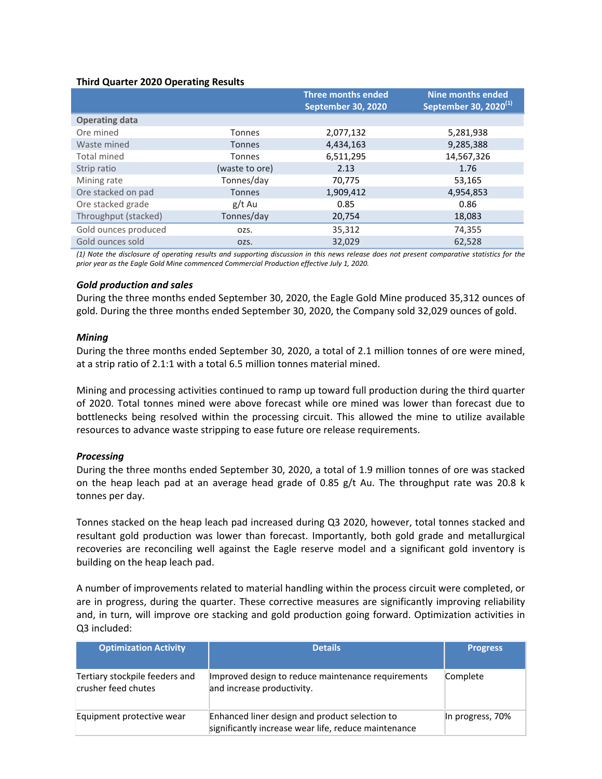#### **Third Quarter 2020 Operating Results**

|                       |                | Three months ended<br>September 30, 2020 | <b>Nine months ended</b><br>September 30, 2020 <sup>(1)</sup> |
|-----------------------|----------------|------------------------------------------|---------------------------------------------------------------|
| <b>Operating data</b> |                |                                          |                                                               |
| Ore mined             | <b>Tonnes</b>  | 2,077,132                                | 5,281,938                                                     |
| Waste mined           | <b>Tonnes</b>  | 4,434,163                                | 9,285,388                                                     |
| Total mined           | Tonnes         | 6,511,295                                | 14,567,326                                                    |
| Strip ratio           | (waste to ore) | 2.13                                     | 1.76                                                          |
| Mining rate           | Tonnes/day     | 70,775                                   | 53,165                                                        |
| Ore stacked on pad    | <b>Tonnes</b>  | 1,909,412                                | 4,954,853                                                     |
| Ore stacked grade     | g/t Au         | 0.85                                     | 0.86                                                          |
| Throughput (stacked)  | Tonnes/day     | 20,754                                   | 18,083                                                        |
| Gold ounces produced  | OZS.           | 35,312                                   | 74,355                                                        |
| Gold ounces sold      | OZS.           | 32,029                                   | 62,528                                                        |

*(1) Note the disclosure of operating results and supporting discussion in this news release does not present comparative statistics for the prior year as the Eagle Gold Mine commenced Commercial Production effective July 1, 2020.* 

#### *Gold production and sales*

During the three months ended September 30, 2020, the Eagle Gold Mine produced 35,312 ounces of gold. During the three months ended September 30, 2020, the Company sold 32,029 ounces of gold.

#### *Mining*

During the three months ended September 30, 2020, a total of 2.1 million tonnes of ore were mined, at a strip ratio of 2.1:1 with a total 6.5 million tonnes material mined.

Mining and processing activities continued to ramp up toward full production during the third quarter of 2020. Total tonnes mined were above forecast while ore mined was lower than forecast due to bottlenecks being resolved within the processing circuit. This allowed the mine to utilize available resources to advance waste stripping to ease future ore release requirements.

#### *Processing*

During the three months ended September 30, 2020, a total of 1.9 million tonnes of ore was stacked on the heap leach pad at an average head grade of 0.85 g/t Au. The throughput rate was 20.8 k tonnes per day.

Tonnes stacked on the heap leach pad increased during Q3 2020, however, total tonnes stacked and resultant gold production was lower than forecast. Importantly, both gold grade and metallurgical recoveries are reconciling well against the Eagle reserve model and a significant gold inventory is building on the heap leach pad.

A number of improvements related to material handling within the process circuit were completed, or are in progress, during the quarter. These corrective measures are significantly improving reliability and, in turn, will improve ore stacking and gold production going forward. Optimization activities in Q3 included:

| <b>Optimization Activity</b>                          | <b>Details</b>                                                                                         | <b>Progress</b>  |
|-------------------------------------------------------|--------------------------------------------------------------------------------------------------------|------------------|
| Tertiary stockpile feeders and<br>crusher feed chutes | Improved design to reduce maintenance requirements<br>and increase productivity.                       | Complete         |
| Equipment protective wear                             | Enhanced liner design and product selection to<br>significantly increase wear life, reduce maintenance | In progress, 70% |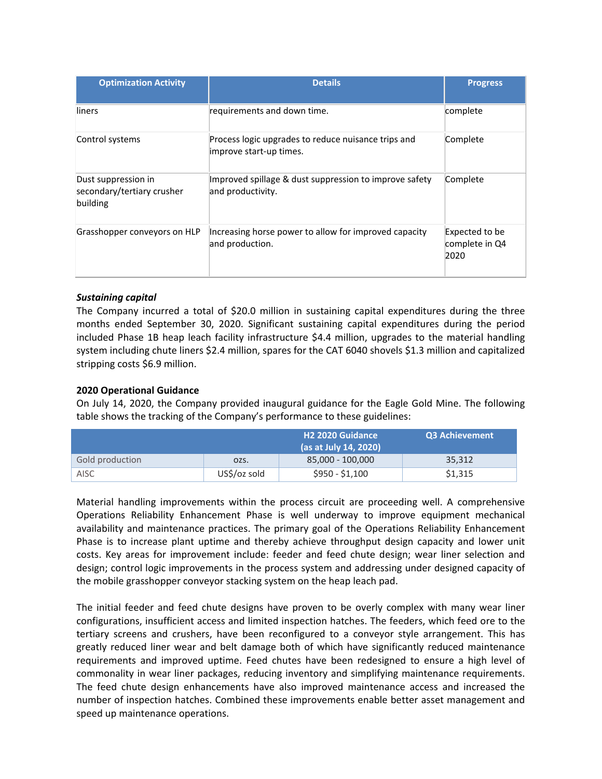| <b>Optimization Activity</b>                                  | <b>Details</b>                                                                 | <b>Progress</b>                          |
|---------------------------------------------------------------|--------------------------------------------------------------------------------|------------------------------------------|
| liners                                                        | requirements and down time.                                                    | complete                                 |
| Control systems                                               | Process logic upgrades to reduce nuisance trips and<br>improve start-up times. | Complete                                 |
| Dust suppression in<br>secondary/tertiary crusher<br>building | Improved spillage & dust suppression to improve safety<br>and productivity.    | Complete                                 |
| Grasshopper conveyors on HLP                                  | Increasing horse power to allow for improved capacity<br>and production.       | Expected to be<br>complete in Q4<br>2020 |

# *Sustaining capital*

The Company incurred a total of \$20.0 million in sustaining capital expenditures during the three months ended September 30, 2020. Significant sustaining capital expenditures during the period included Phase 1B heap leach facility infrastructure \$4.4 million, upgrades to the material handling system including chute liners \$2.4 million, spares for the CAT 6040 shovels \$1.3 million and capitalized stripping costs \$6.9 million.

# **2020 Operational Guidance**

On July 14, 2020, the Company provided inaugural guidance for the Eagle Gold Mine. The following table shows the tracking of the Company's performance to these guidelines:

|                 |              | H <sub>2</sub> 2020 Guidance<br>(as at July 14, 2020) | Q3 Achievement |
|-----------------|--------------|-------------------------------------------------------|----------------|
| Gold production | OZS.         | 85,000 - 100,000                                      | 35,312         |
| AISC            | US\$/oz sold | $$950 - $1,100$                                       | \$1,315        |

Material handling improvements within the process circuit are proceeding well. A comprehensive Operations Reliability Enhancement Phase is well underway to improve equipment mechanical availability and maintenance practices. The primary goal of the Operations Reliability Enhancement Phase is to increase plant uptime and thereby achieve throughput design capacity and lower unit costs. Key areas for improvement include: feeder and feed chute design; wear liner selection and design; control logic improvements in the process system and addressing under designed capacity of the mobile grasshopper conveyor stacking system on the heap leach pad.

The initial feeder and feed chute designs have proven to be overly complex with many wear liner configurations, insufficient access and limited inspection hatches. The feeders, which feed ore to the tertiary screens and crushers, have been reconfigured to a conveyor style arrangement. This has greatly reduced liner wear and belt damage both of which have significantly reduced maintenance requirements and improved uptime. Feed chutes have been redesigned to ensure a high level of commonality in wear liner packages, reducing inventory and simplifying maintenance requirements. The feed chute design enhancements have also improved maintenance access and increased the number of inspection hatches. Combined these improvements enable better asset management and speed up maintenance operations.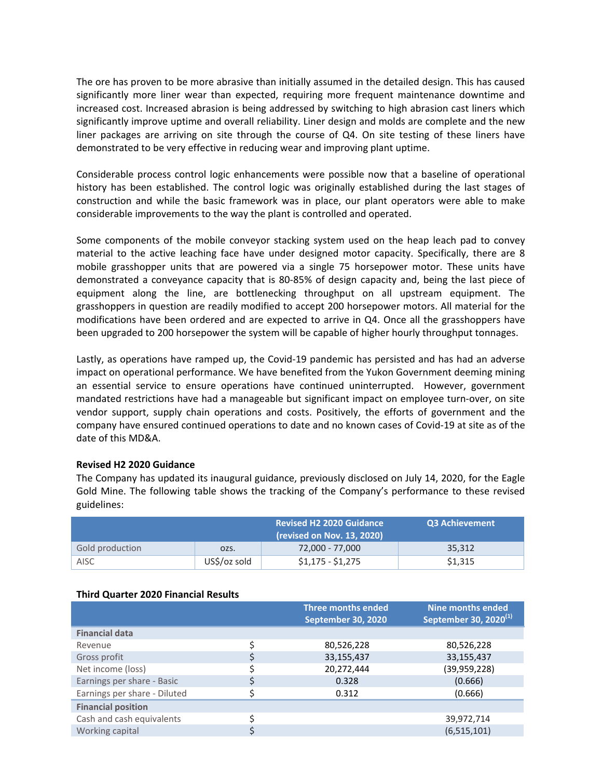The ore has proven to be more abrasive than initially assumed in the detailed design. This has caused significantly more liner wear than expected, requiring more frequent maintenance downtime and increased cost. Increased abrasion is being addressed by switching to high abrasion cast liners which significantly improve uptime and overall reliability. Liner design and molds are complete and the new liner packages are arriving on site through the course of Q4. On site testing of these liners have demonstrated to be very effective in reducing wear and improving plant uptime.

Considerable process control logic enhancements were possible now that a baseline of operational history has been established. The control logic was originally established during the last stages of construction and while the basic framework was in place, our plant operators were able to make considerable improvements to the way the plant is controlled and operated.

Some components of the mobile conveyor stacking system used on the heap leach pad to convey material to the active leaching face have under designed motor capacity. Specifically, there are 8 mobile grasshopper units that are powered via a single 75 horsepower motor. These units have demonstrated a conveyance capacity that is 80-85% of design capacity and, being the last piece of equipment along the line, are bottlenecking throughput on all upstream equipment. The grasshoppers in question are readily modified to accept 200 horsepower motors. All material for the modifications have been ordered and are expected to arrive in Q4. Once all the grasshoppers have been upgraded to 200 horsepower the system will be capable of higher hourly throughput tonnages.

Lastly, as operations have ramped up, the Covid-19 pandemic has persisted and has had an adverse impact on operational performance. We have benefited from the Yukon Government deeming mining an essential service to ensure operations have continued uninterrupted. However, government mandated restrictions have had a manageable but significant impact on employee turn-over, on site vendor support, supply chain operations and costs. Positively, the efforts of government and the company have ensured continued operations to date and no known cases of Covid-19 at site as of the date of this MD&A.

# **Revised H2 2020 Guidance**

The Company has updated its inaugural guidance, previously disclosed on July 14, 2020, for the Eagle Gold Mine. The following table shows the tracking of the Company's performance to these revised guidelines:

|                 | Q3 Achievement |                   |         |
|-----------------|----------------|-------------------|---------|
| Gold production | OZS.           | 72,000 - 77,000   | 35,312  |
| AISC            | US\$/oz sold   | $$1,175 - $1,275$ | \$1,315 |

#### **Third Quarter 2020 Financial Results**

|                              |   | <b>Three months ended</b><br>September 30, 2020 | <b>Nine months ended</b><br>September 30, 2020 $^{(1)}$ |
|------------------------------|---|-------------------------------------------------|---------------------------------------------------------|
| <b>Financial data</b>        |   |                                                 |                                                         |
| Revenue                      | Ś | 80,526,228                                      | 80,526,228                                              |
| Gross profit                 |   | 33,155,437                                      | 33,155,437                                              |
| Net income (loss)            |   | 20,272,444                                      | (39, 959, 228)                                          |
| Earnings per share - Basic   |   | 0.328                                           | (0.666)                                                 |
| Earnings per share - Diluted |   | 0.312                                           | (0.666)                                                 |
| <b>Financial position</b>    |   |                                                 |                                                         |
| Cash and cash equivalents    | c |                                                 | 39,972,714                                              |
| Working capital              |   |                                                 | (6, 515, 101)                                           |
|                              |   |                                                 |                                                         |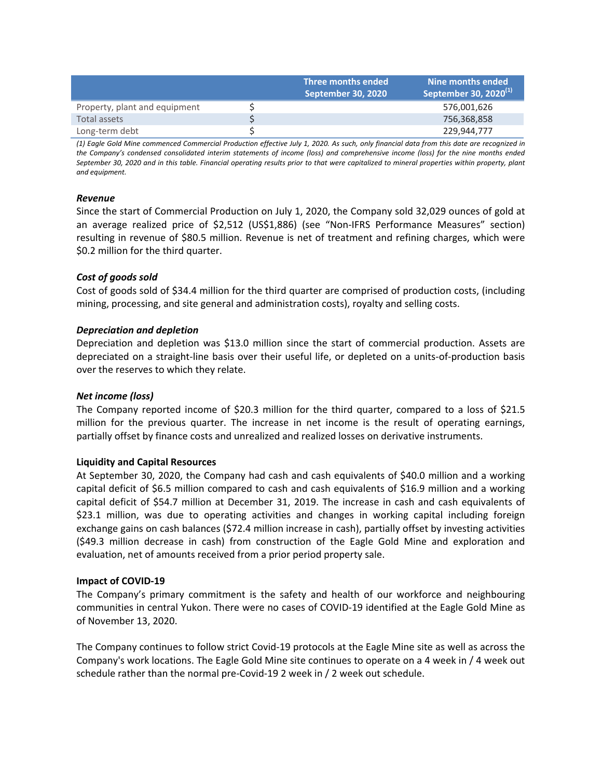|                               | Three months ended<br>September 30, 2020 | Nine months ended<br>September 30, 2020 <sup>(1)</sup> |
|-------------------------------|------------------------------------------|--------------------------------------------------------|
| Property, plant and equipment |                                          | 576,001,626                                            |
| Total assets                  |                                          | 756,368,858                                            |
| Long-term debt                |                                          | 229.944.777                                            |

*(1) Eagle Gold Mine commenced Commercial Production effective July 1, 2020. As such, only financial data from this date are recognized in the Company's condensed consolidated interim statements of income (loss) and comprehensive income (loss) for the nine months ended September 30, 2020 and in this table. Financial operating results prior to that were capitalized to mineral properties within property, plant and equipment.*

# *Revenue*

Since the start of Commercial Production on July 1, 2020, the Company sold 32,029 ounces of gold at an average realized price of \$2,512 (US\$1,886) (see "Non-IFRS Performance Measures" section) resulting in revenue of \$80.5 million. Revenue is net of treatment and refining charges, which were \$0.2 million for the third quarter.

# *Cost of goods sold*

Cost of goods sold of \$34.4 million for the third quarter are comprised of production costs, (including mining, processing, and site general and administration costs), royalty and selling costs.

# *Depreciation and depletion*

Depreciation and depletion was \$13.0 million since the start of commercial production. Assets are depreciated on a straight-line basis over their useful life, or depleted on a units-of-production basis over the reserves to which they relate.

# *Net income (loss)*

The Company reported income of \$20.3 million for the third quarter, compared to a loss of \$21.5 million for the previous quarter. The increase in net income is the result of operating earnings, partially offset by finance costs and unrealized and realized losses on derivative instruments.

#### **Liquidity and Capital Resources**

At September 30, 2020, the Company had cash and cash equivalents of \$40.0 million and a working capital deficit of \$6.5 million compared to cash and cash equivalents of \$16.9 million and a working capital deficit of \$54.7 million at December 31, 2019. The increase in cash and cash equivalents of \$23.1 million, was due to operating activities and changes in working capital including foreign exchange gains on cash balances (\$72.4 million increase in cash), partially offset by investing activities (\$49.3 million decrease in cash) from construction of the Eagle Gold Mine and exploration and evaluation, net of amounts received from a prior period property sale.

#### **Impact of COVID-19**

The Company's primary commitment is the safety and health of our workforce and neighbouring communities in central Yukon. There were no cases of COVID-19 identified at the Eagle Gold Mine as of November 13, 2020.

The Company continues to follow strict Covid-19 protocols at the Eagle Mine site as well as across the Company's work locations. The Eagle Gold Mine site continues to operate on a 4 week in / 4 week out schedule rather than the normal pre-Covid-19 2 week in / 2 week out schedule.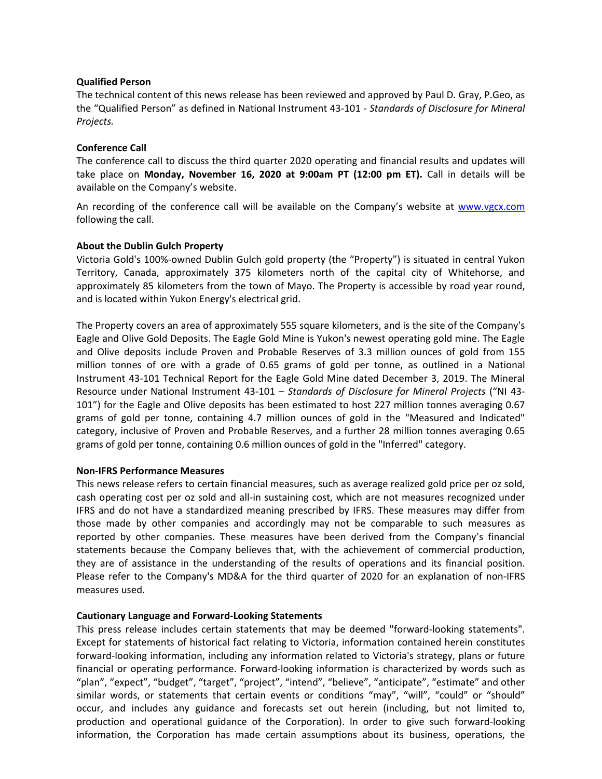### **Qualified Person**

The technical content of this news release has been reviewed and approved by Paul D. Gray, P.Geo, as the "Qualified Person" as defined in National Instrument 43-101 - *Standards of Disclosure for Mineral Projects.*

# **Conference Call**

The conference call to discuss the third quarter 2020 operating and financial results and updates will take place on **Monday, November 16, 2020 at 9:00am PT (12:00 pm ET).** Call in details will be available on the Company's website.

An recording of the conference call will be available on the Company's website at [www.vgcx.com](http://www.vgcx.com/) following the call.

# **About the Dublin Gulch Property**

Victoria Gold's 100%-owned Dublin Gulch gold property (the "Property") is situated in central Yukon Territory, Canada, approximately 375 kilometers north of the capital city of Whitehorse, and approximately 85 kilometers from the town of Mayo. The Property is accessible by road year round, and is located within Yukon Energy's electrical grid.

The Property covers an area of approximately 555 square kilometers, and is the site of the Company's Eagle and Olive Gold Deposits. The Eagle Gold Mine is Yukon's newest operating gold mine. The Eagle and Olive deposits include Proven and Probable Reserves of 3.3 million ounces of gold from 155 million tonnes of ore with a grade of 0.65 grams of gold per tonne, as outlined in a National Instrument 43-101 Technical Report for the Eagle Gold Mine dated December 3, 2019. The Mineral Resource under National Instrument 43-101 – *Standards of Disclosure for Mineral Projects* ("NI 43- 101") for the Eagle and Olive deposits has been estimated to host 227 million tonnes averaging 0.67 grams of gold per tonne, containing 4.7 million ounces of gold in the "Measured and Indicated" category, inclusive of Proven and Probable Reserves, and a further 28 million tonnes averaging 0.65 grams of gold per tonne, containing 0.6 million ounces of gold in the "Inferred" category.

#### **Non-IFRS Performance Measures**

This news release refers to certain financial measures, such as average realized gold price per oz sold, cash operating cost per oz sold and all-in sustaining cost, which are not measures recognized under IFRS and do not have a standardized meaning prescribed by IFRS. These measures may differ from those made by other companies and accordingly may not be comparable to such measures as reported by other companies. These measures have been derived from the Company's financial statements because the Company believes that, with the achievement of commercial production, they are of assistance in the understanding of the results of operations and its financial position. Please refer to the Company's MD&A for the third quarter of 2020 for an explanation of non-IFRS measures used.

#### **Cautionary Language and Forward-Looking Statements**

This press release includes certain statements that may be deemed "forward-looking statements". Except for statements of historical fact relating to Victoria, information contained herein constitutes forward-looking information, including any information related to Victoria's strategy, plans or future financial or operating performance. Forward-looking information is characterized by words such as "plan", "expect", "budget", "target", "project", "intend", "believe", "anticipate", "estimate" and other similar words, or statements that certain events or conditions "may", "will", "could" or "should" occur, and includes any guidance and forecasts set out herein (including, but not limited to, production and operational guidance of the Corporation). In order to give such forward-looking information, the Corporation has made certain assumptions about its business, operations, the